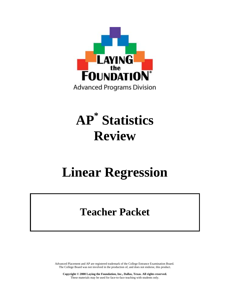

# **AP\* Statistics Review**

# **Linear Regression**

# **Teacher Packet**

Advanced Placement and AP are registered trademark of the College Entrance Examination Board. The College Board was not involved in the production of, and does not endorse, this product.

**Copyright © 2008 Laying the Foundation, Inc., Dallas, Texas. All rights reserved.**  These materials may be used for face-to-face teaching with students only.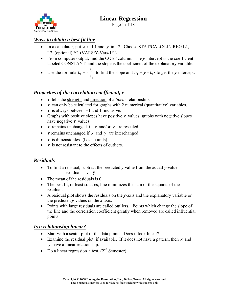

Page 1 of 18

## *Ways to obtain a best fit line*

- In a calculator, put *x* in L1 and *y* in L2. Choose STAT/CALC/LIN REG L1, L2, (optional) Y1 (VARS/Y-Vars/1/1).
- From computer output, find the COEF column. The *y*-intercept is the coefficient labeled CONSTANT, and the slope is the coefficient of the explanatory variable.
- Use the formula *x y s s*  $b_1 = r \frac{y}{r}$  to find the slope and  $b_0 = \overline{y} - b_1 \overline{x}$  to get the *y*-intercept.

## *Properties of the correlation coefficient, r*

- *r* tells the strength and direction of a *linear* relationship.
- *r* can only be calculated for graphs with 2 numerical (quantitative) variables.
- *r* is always between −1 and 1, inclusive.
- Graphs with positive slopes have positive *r* values; graphs with negative slopes have negative *r* values.
- *r* remains unchanged if *x* and/or *y* are rescaled.
- *r* remains unchanged if *x* and *y* are interchanged.
- *r* is dimensionless (has no units).
- *r* is not resistant to the effects of outliers.

#### *Residuals*

- To find a residual, subtract the predicted *y*-value from the actual *y-*value residual =  $y - \hat{y}$
- The mean of the residuals is 0.
- The best fit, or least squares, line minimizes the sum of the squares of the residuals.
- A residual plot shows the residuals on the *y*-axis and the explanatory variable or the predicted *y*-values on the *x*-axis.
- Points with large residuals are called outliers. Points which change the slope of the line and the correlation coefficient greatly when removed are called influential points.

#### *Is a relationship linear?*

- Start with a scatterplot of the data points. Does it look linear?
- Examine the residual plot, if available. If it does not have a pattern, then *x* and *y* have a linear relationship.
- Do a linear regression  $t$  test. ( $2<sup>nd</sup>$  Semester)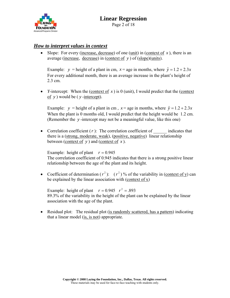

#### *How to interpret values in context*

• Slope: For every (increase, decrease) of one (unit) in (context of  $x$ ), there is an average (increase, decrease) in (context of *y* ) of (slope)(units).

Example: *y* = height of a plant in cm,  $x =$  age in months, where  $\hat{y} = 1.2 + 2.3x$ For every additional month, there is an average increase in the plant's height of 2.3 cm.

• *Y*-intercept: When the (context of  $x$ ) is 0 (unit), I would predict that the (context of *y* ) would be ( *y* -intercept).

Example: *y* = height of a plant in cm,  $x =$  age in months, where  $\hat{y} = 1.2 + 2.3x$ When the plant is 0 months old, I would predict that the height would be 1.2 cm. (Remember the *y* -intercept may not be a meaningful value, like this one)

• Correlation coefficient  $(r)$ : The correlation coefficient of  $\blacksquare$  indicates that there is a (strong, moderate, weak), (positive, negative) linear relationship between (context of *y* ) and (context of *x* ).

Example: height of plant  $r = 0.945$ The correlation coefficient of 0.945 indicates that there is a strong positive linear relationship between the age of the plant and its height.

• Coefficient of determination  $(r^2)$ :  $(r^2)$  % of the variability in (context of y) can be explained by the linear association with (context of  $x$ )

Example: height of plant  $r = 0.945$   $r^2 = .893$ 89.3% of the variability in the height of the plant can be explained by the linear association with the age of the plant.

• Residual plot: The residual plot (is randomly scattered, has a pattern) indicating that a linear model (is, is not) appropriate.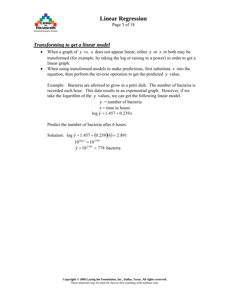

#### *Transforming to get a linear model*

- When a graph of *y* vs. *x* does not appear linear, either *y* or *x* or both may be transformed (for example, by taking the log or raising to a power) in order to get a linear graph.
- When using transformed models to make predictions, first substitute  $x$  into the equation, then perform the inverse operation to get the predicted *y* value.

Example: Bacteria are allowed to grow in a petri dish. The number of bacteria is recorded each hour. This data results in an exponential graph. However, if we take the logarithm of the *y* values, we can get the following linear model.

> *y* = number of bacteria  $x =$  time in hours  $\log \hat{y} = 1.457 + 0.239x$

Predict the number of bacteria after 6 hours.

Solution:  $\log \hat{y} = 1.457 + (0.239)(6) = 2.891$  $10^{\log \hat{y}} = 10^{2.891}$  $\hat{y} = 10^{2.891} = 778$  bacteria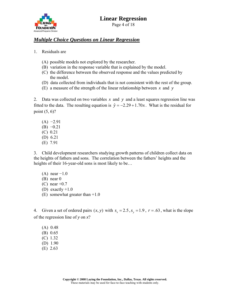

#### *Multiple Choice Questions on Linear Regression*

1. Residuals are

- (A) possible models not explored by the researcher.
- (B) variation in the response variable that is explained by the model.
- (C) the difference between the observed response and the values predicted by the model.
- (D) data collected from individuals that is not consistent with the rest of the group.
- (E) a measure of the strength of the linear relationship between *x* and *y*

2. Data was collected on two variables *x* and *y* and a least squares regression line was fitted to the data. The resulting equation is  $\hat{y} = -2.29 + 1.70x$ . What is the residual for point (5, 6)?

 $(A) -2.91$  $(B) -0.21$  (C) 0.21 (D) 6.21 (E) 7.91

3. Child development researchers studying growth patterns of children collect data on the heights of fathers and sons. The correlation between the fathers' heights and the heights of their 16-year-old sons is most likely to be...

 $(A)$  near  $-1.0$  (B) near 0  $(C)$  near  $+0.7$ (D) exactly  $+1.0$ (E) somewhat greater than +1.0

4. Given a set of ordered pairs  $(x, y)$  with  $s_x = 2.5$ ,  $s_y = 1.9$ ,  $r = .63$ , what is the slope of the regression line of *y* on *x*?

 (A) 0.48 (B) 0.65 (C) 1.32 (D) 1.90 (E) 2.63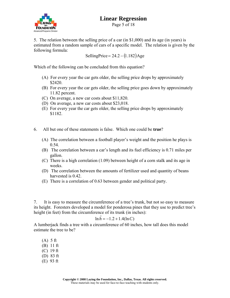

Page 5 of 18

5. The relation between the selling price of a car (in \$1,000) and its age (in years) is estimated from a random sample of cars of a specific model. The relation is given by the following formula:

SellingPrice =  $24.2 - (1.182)$ Age

Which of the following can be concluded from this equation?

- (A) For every year the car gets older, the selling price drops by approximately \$2420.
- (B) For every year the car gets older, the selling price goes down by approximately 11.82 percent.
- (C) On average, a new car costs about \$11,820.
- (D) On average, a new car costs about \$23,018.
- (E) For every year the car gets older, the selling price drops by approximately \$1182.
- 6. All but one of these statements is false. Which one could be **true**?
	- (A) The correlation between a football player's weight and the position he plays is 0.54.
	- (B) The correlation between a car's length and its fuel efficiency is 0.71 miles per gallon.
	- (C) There is a high correlation (1.09) between height of a corn stalk and its age in weeks.
	- (D) The correlation between the amounts of fertilizer used and quantity of beans harvested is 0.42.
	- (E) There is a correlation of 0.63 between gender and political party.

7. It is easy to measure the circumference of a tree's trunk, but not so easy to measure its height. Foresters developed a model for ponderosa pines that they use to predict tree's height (in feet) from the circumference of its trunk (in inches):

#### $\ln \hat{h} = -1.2 + 1.4(\ln C)$

A lumberjack finds a tree with a circumference of 60 inches, how tall does this model estimate the tree to be?

 (A) 5 ft (B) 11 ft (C) 19 ft (D) 83 ft (E) 93 ft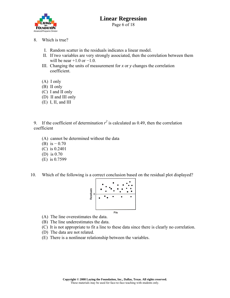

- 8. Which is true?
	- I. Random scatter in the residuals indicates a linear model.
	- II. If two variables are very strongly associated, then the correlation between them will be near  $+1.0$  or  $-1.0$ .
	- III. Changing the units of measurement for *x* or *y* changes the correlation coefficient.
	- (A) I only
	- (B) II only
	- (C) I and II only
	- (D) II and III only
	- (E) I, II, and III

9. If the coefficient of determination  $r^2$  is calculated as 0.49, then the correlation coefficient

- (A) cannot be determined without the data
- (B) is  $-0.70$
- (C) is 0.2401
- (D) is 0.70
- (E) is 0.7599
- 10. Which of the following is a correct conclusion based on the residual plot displayed?



- (A) The line overestimates the data.
- (B) The line underestimates the data.
- (C) It is not appropriate to fit a line to these data since there is clearly no correlation.
- (D) The data are not related.
- (E) There is a nonlinear relationship between the variables.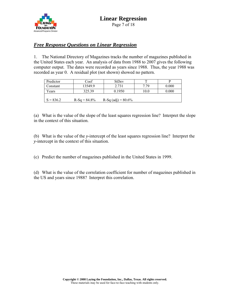

## *Free Response Questions on Linear Regression*

1. The National Directory of Magazines tracks the number of magazines published in the United States each year. An analysis of data from 1988 to 2007 gives the following computer output. The dates were recorded as years since 1988. Thus, the year 1988 was recorded as year 0. A residual plot (not shown) showed no pattern.

| Predictor   | Coef           | StDev                |      |       |
|-------------|----------------|----------------------|------|-------|
| Constant    | 13549.9        | 2.731                | 779  | 0.000 |
| Years       | 325.39         | 0.1950               | 10.0 | 0.000 |
|             |                |                      |      |       |
| $S = 836.2$ | $R-Sq = 84.8%$ | $R-Sq$ (adj) = 80.6% |      |       |

(a) What is the value of the slope of the least squares regression line? Interpret the slope in the context of this situation.

(b) What is the value of the *y*-intercept of the least squares regression line? Interpret the *y*-intercept in the context of this situation.

(c) Predict the number of magazines published in the United States in 1999.

(d) What is the value of the correlation coefficient for number of magazines published in the US and years since 1988? Interpret this correlation.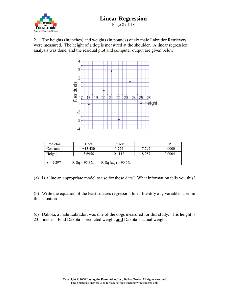

Page 8 of 18

2. The heights (in inches) and weights (in pounds) of six male Labrador Retrievers were measured. The height of a dog is measured at the shoulder. A linear regression analysis was done, and the residual plot and computer output are given below.



| Predictor                                               | Coef      | <b>StDev</b> | m     | р      |
|---------------------------------------------------------|-----------|--------------|-------|--------|
| Constant                                                | $-13.430$ | 1.724        | 7.792 | 0.0000 |
| Height                                                  | 3.6956    | 0.4112       | 8987  | 0.0004 |
| $S = 2.297$<br>R-Sq (adj) = $90.6\%$<br>$R-Sq = 95.3\%$ |           |              |       |        |

(a) Is a line an appropriate model to use for these data? What information tells you this?

(b) Write the equation of the least squares regression line. Identify any variables used in this equation.

(c) Dakota, a male Labrador, was one of the dogs measured for this study. His height is 23.5 inches. Find Dakota's predicted weight **and** Dakota's actual weight.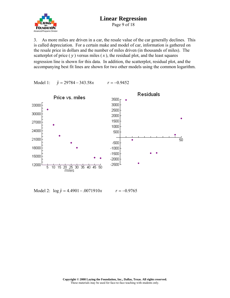# **FOUNDATION** Advanced Programs Division

# **Linear Regression**

Page 9 of 18

3. As more miles are driven in a car, the resale value of the car generally declines. This is called depreciation. For a certain make and model of car, information is gathered on the resale price in dollars and the number of miles driven (in thousands of miles). The scatterplot of price  $(y)$  versus miles  $(x)$ , the residual plot, and the least squares regression line is shown for this data. In addition, the scatterplot, residual plot, and the accompanying best fit lines are shown for two other models using the common logarithm.

Model 1: *y*ˆ = 29784 − 343.58*x r* = −0.9452



Model 2: log *y*ˆ = 4.4901−.0071910*x r* = −0.9765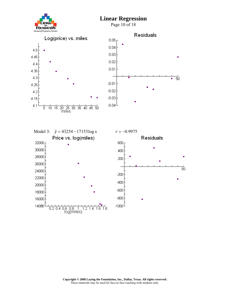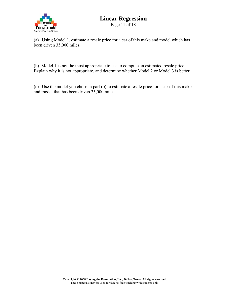

Page 11 of 18

(a) Using Model 1, estimate a resale price for a car of this make and model which has been driven 35,000 miles.

(b) Model 1 is not the most appropriate to use to compute an estimated resale price. Explain why it is not appropriate, and determine whether Model 2 or Model 3 is better.

(c) Use the model you chose in part (b) to estimate a resale price for a car of this make and model that has been driven 35,000 miles.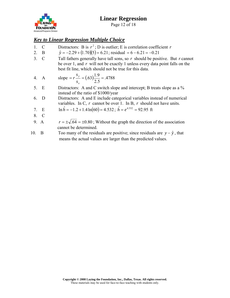

Page 12 of 18

## *Key to Linear Regression Multiple Choice*

- 1. C Distractors: B is  $r^2$ ; D is outlier; E is correlation coefficient *r*
- 2. B  $\hat{y} = -2.29 + (1.70)(5) = 6.21$ ; residual = 6 6.21 = –0.21
- 3. C Tall fathers generally have tall sons, so *r* should be positive. But *r* cannot be over 1, and *r* will not be exactly 1 unless every data point falls on the best fit line, which should not be true for this data.

4. A slope = 
$$
r \frac{s_y}{s_x}
$$
 = (0.63)  $\frac{1.9}{2.5}$  = 0.4788

- 5. E Distractors: A and C switch slope and intercept; B treats slope as a % instead of the ratio of \$1000/year
- 6. D Distractors: A and E include categorical variables instead of numerical variables. In C, *r* cannot be over 1. In B, *r* should not have units.

7. E 
$$
\ln \hat{h} = -1.2 + 1.4 \ln(60) = 4.532
$$
;  $\hat{h} = e^{4.532} = 92.95$  ft

8. C

9. A 
$$
r = \pm \sqrt{.64} = \pm 0.80
$$
; Without the graph the direction of the association cannot be determined.

10. B Too many of the residuals are positive; since residuals are  $y - \hat{y}$ , that means the actual values are larger than the predicted values.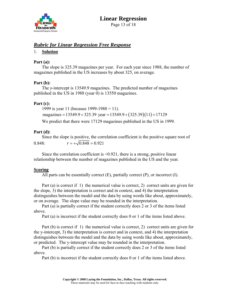

Page 13 of 18

#### *Rubric for Linear Regression Free Response*

#### 1. **Solution**

#### **Part (a):**

 The slope is 325.39 magazines per year. For each year since 1988, the number of magazines published in the US increases by about 325, on average.

#### **Part (b):**

 The *y*-intercept is 13549.9 magazines. The predicted number of magazines published in the US in 1988 (year 0) is 13550 magazines.

#### **Part (c):**

1999 is year 11 (because 1999-1988 = 11).

magazines =  $13549.9 + 325.39$  year =  $13549.9 + (325.39)(11) = 17129$ 

We predict that there were 17129 magazines published in the US in 1999.

#### **Part (d):**

 Since the slope is positive, the correlation coefficient is the positive square root of 0.848:  $r = +\sqrt{0.848} = 0.921$ 

Since the correlation coefficient is  $+0.921$ , there is a strong, positive linear relationship between the number of magazines published in the US and the year.

#### **Scoring**

All parts can be essentially correct (E), partially correct (P), or incorrect (I).

 Part (a) is correct if 1) the numerical value is correct, 2) correct units are given for the slope, 3) the interpretation is correct and in context, and 4) the interpretation distinguishes between the model and the data by using words like about, approximately, or on average. The slope value may be rounded in the interpretation.

 Part (a) is partially correct if the student correctly does 2 or 3 of the items listed above.

Part (a) is incorrect if the student correctly does 0 or 1 of the items listed above.

 Part (b) is correct if 1) the numerical value is correct, 2) correct units are given for the y-intercept, 3) the interpretation is correct and in context, and 4) the interpretation distinguishes between the model and the data by using words like about, approximately, or predicted. The y-intercept value may be rounded in the interpretation.

 Part (b) is partially correct if the student correctly does 2 or 3 of the items listed above.

Part (b) is incorrect if the student correctly does 0 or 1 of the items listed above.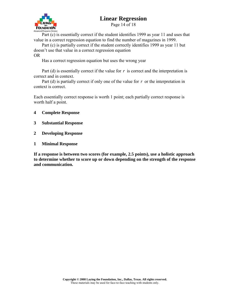

Page 14 of 18

 Part (c) is essentially correct if the student identifies 1999 as year 11 and uses that value in a correct regression equation to find the number of magazines in 1999.

 Part (c) is partially correct if the student correctly identifies 1999 as year 11 but doesn't use that value in a correct regression equation

OR

Has a correct regression equation but uses the wrong year

 Part (d) is essentially correct if the value for *r* is correct and the interpretation is correct and in context.

 Part (d) is partially correct if only one of the value for *r* or the interpretation in context is correct.

Each essentially correct response is worth 1 point; each partially correct response is worth half a point.

- **4 Complete Response**
- **3 Substantial Response**
- **2 Developing Response**
- **1 Minimal Response**

**If a response is between two scores (for example, 2.5 points), use a holistic approach to determine whether to score up or down depending on the strength of the response and communication.**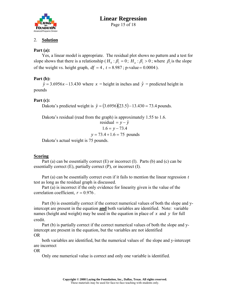

#### **Linear Regression**  Page 15 of 18

#### 2. **Solution**

#### **Part (a):**

 Yes, a linear model is appropriate. The residual plot shows no pattern and a test for slope shows that there is a relationship ( $H_0 : \beta_1 = 0$ ;  $H_a : \beta_1 > 0$ ; where  $\beta_1$  is the slope of the weight vs. height graph,  $df = 4$ ,  $t = 8.987$ ; p-value = 0.0004).

#### **Part (b):**

 $\hat{y}$  = 3.6956*x* − 13.430 where *x* = height in inches and  $\hat{y}$  = predicted height in pounds

#### **Part (c):**

Dakota's predicted weight is  $\hat{y} = (3.6956)(23.5) - 13.430 = 73.4$  pounds.

Dakota's residual (read from the graph) is approximately 1.55 to 1.6.

residual = 
$$
y - \hat{y}
$$
  
1.6 =  $y - 73.4$ 

$$
y = 73.4 + 1.6 = 75
$$
 pounds

Dakota's actual weight is 75 pounds.

#### **Scoring**

Part (a) can be essentially correct  $(E)$  or incorrect  $(I)$ . Parts  $(b)$  and  $(c)$  can be essentially correct  $(E)$ , partially correct  $(P)$ , or incorrect  $(I)$ .

 Part (a) can be essentially correct even if it fails to mention the linear regression *t* test as long as the residual graph is discussed.

 Part (a) is incorrect if the only evidence for linearity given is the value of the correlation coefficient,  $r = 0.976$ .

 Part (b) is essentially correct if the correct numerical values of both the slope and yintercept are present in the equation **and** both variables are identified. Note: variable names (height and weight) may be used in the equation in place of *x* and *y* for full credit.

 Part (b) is partially correct if the correct numerical values of both the slope and yintercept are present in the equation, but the variables are not identified OR

 both variables are identified, but the numerical values of the slope and y-intercept are incorrect

OR

Only one numerical value is correct and only one variable is identified.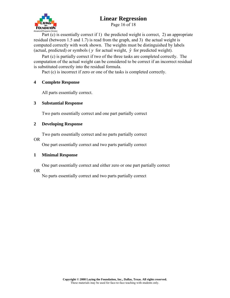

Page 16 of 18

 Part (c) is essentially correct if 1) the predicted weight is correct, 2) an appropriate residual (between 1.5 and 1.7) is read from the graph, and 3) the actual weight is computed correctly with work shown. The weights must be distinguished by labels (actual, predicted) or symbols ( $y$  for actual weight,  $\hat{y}$  for predicted weight).

 Part (c) is partially correct if two of the three tasks are completed correctly. The computation of the actual weight can be considered to be correct if an incorrect residual is substituted correctly into the residual formula.

Pact (c) is incorrect if zero or one of the tasks is completed correctly.

#### **4 Complete Response**

All parts essentially correct.

#### **3 Substantial Response**

Two parts essentially correct and one part partially correct

#### **2 Developing Response**

Two parts essentially correct and no parts partially correct

#### OR

One part essentially correct and two parts partially correct

#### **1 Minimal Response**

One part essentially correct and either zero or one part partially correct

#### OR

No parts essentially correct and two parts partially correct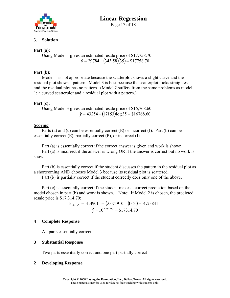

#### **Linear Regression**  Page 17 of 18

#### 3. **Solution**

#### **Part (a):**

 Using Model 1 gives an estimated resale price of \$17,758.70:  $\hat{y} = 29784 - (343.58)(35) = $17758.70$ 

#### **Part (b):**

 Model 1 is not appropriate because the scatterplot shows a slight curve and the residual plot shows a pattern. Model 3 is best because the scatterplot looks straightest and the residual plot has no pattern. (Model 2 suffers from the same problems as model 1: a curved scatterplot and a residual plot with a pattern.)

#### **Part (c):**

 Using Model 3 gives an estimated resale price of \$16,768.60:  $\hat{y} = 43254 - (17153) \log 35 = $16768.60$ 

#### **Scoring**

 Parts (a) and (c) can be essentially correct (E) or incorrect (I). Part (b) can be essentially correct  $(E)$ , partially correct  $(P)$ , or incorrect  $(I)$ .

Part (a) is essentially correct if the correct answer is given and work is shown.

 Part (a) is incorrect if the answer is wrong OR if the answer is correct but no work is shown.

 Part (b) is essentially correct if the student discusses the pattern in the residual plot as a shortcoming AND chooses Model 3 because its residual plot is scattered.

Part (b) is partially correct if the student correctly does only one of the above.

 Part (c) is essentially correct if the student makes a correct prediction based on the model chosen in part (b) and work is shown. Note: If Model 2 is chosen, the predicted resale price is \$17,314.70:

log  $\hat{y} = 4.4901 - (0.0071910)$  (35) = 4.23841  $\hat{y} = 10^{4.238415} = $17314.70$ 

#### **4 Complete Response**

All parts essentially correct.

#### **3 Substantial Response**

Two parts essentially correct and one part partially correct

#### **2 Developing Response**